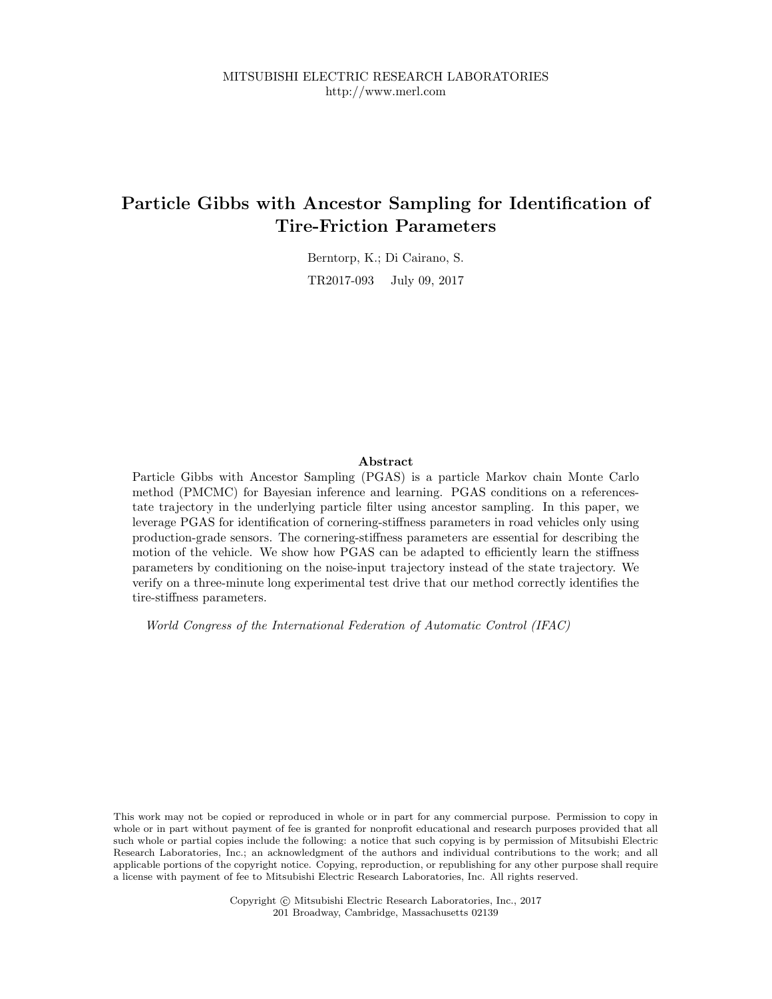## **Particle Gibbs with Ancestor Sampling for Identification of Tire-Friction Parameters**

Berntorp, K.; Di Cairano, S. TR2017-093 July 09, 2017

### **Abstract**

Particle Gibbs with Ancestor Sampling (PGAS) is a particle Markov chain Monte Carlo method (PMCMC) for Bayesian inference and learning. PGAS conditions on a referencestate trajectory in the underlying particle filter using ancestor sampling. In this paper, we leverage PGAS for identification of cornering-stiffness parameters in road vehicles only using production-grade sensors. The cornering-stiffness parameters are essential for describing the motion of the vehicle. We show how PGAS can be adapted to efficiently learn the stiffness parameters by conditioning on the noise-input trajectory instead of the state trajectory. We verify on a three-minute long experimental test drive that our method correctly identifies the tire-stiffness parameters.

*World Congress of the International Federation of Automatic Control (IFAC)*

This work may not be copied or reproduced in whole or in part for any commercial purpose. Permission to copy in whole or in part without payment of fee is granted for nonprofit educational and research purposes provided that all such whole or partial copies include the following: a notice that such copying is by permission of Mitsubishi Electric Research Laboratories, Inc.; an acknowledgment of the authors and individual contributions to the work; and all applicable portions of the copyright notice. Copying, reproduction, or republishing for any other purpose shall require a license with payment of fee to Mitsubishi Electric Research Laboratories, Inc. All rights reserved.

> Copyright © Mitsubishi Electric Research Laboratories, Inc., 2017 201 Broadway, Cambridge, Massachusetts 02139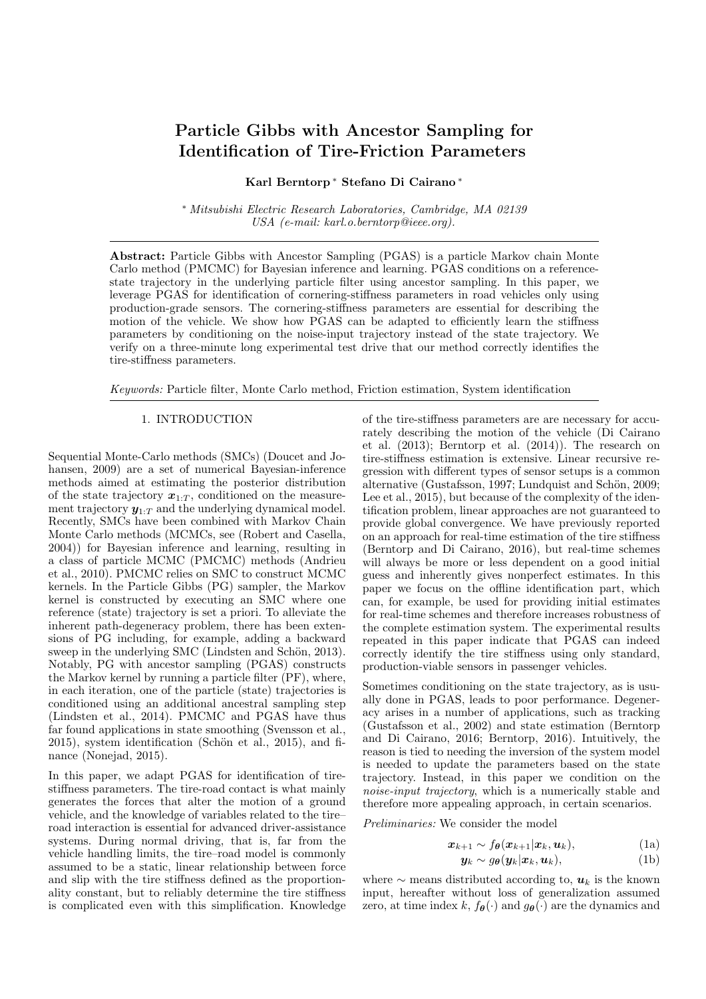# Particle Gibbs with Ancestor Sampling for Identification of Tire-Friction Parameters

Karl Berntorp <sup>∗</sup> Stefano Di Cairano <sup>∗</sup>

<sup>∗</sup> Mitsubishi Electric Research Laboratories, Cambridge, MA 02139 USA (e-mail: karl.o.berntorp@ieee.org).

Abstract: Particle Gibbs with Ancestor Sampling (PGAS) is a particle Markov chain Monte Carlo method (PMCMC) for Bayesian inference and learning. PGAS conditions on a referencestate trajectory in the underlying particle filter using ancestor sampling. In this paper, we leverage PGAS for identification of cornering-stiffness parameters in road vehicles only using production-grade sensors. The cornering-stiffness parameters are essential for describing the motion of the vehicle. We show how PGAS can be adapted to efficiently learn the stiffness parameters by conditioning on the noise-input trajectory instead of the state trajectory. We verify on a three-minute long experimental test drive that our method correctly identifies the tire-stiffness parameters.

Keywords: Particle filter, Monte Carlo method, Friction estimation, System identification

#### 1. INTRODUCTION

Sequential Monte-Carlo methods (SMCs) (Doucet and Johansen, 2009) are a set of numerical Bayesian-inference methods aimed at estimating the posterior distribution of the state trajectory  $x_{1:T}$ , conditioned on the measurement trajectory  $y_{1:T}$  and the underlying dynamical model. Recently, SMCs have been combined with Markov Chain Monte Carlo methods (MCMCs, see (Robert and Casella, 2004)) for Bayesian inference and learning, resulting in a class of particle MCMC (PMCMC) methods (Andrieu et al., 2010). PMCMC relies on SMC to construct MCMC kernels. In the Particle Gibbs (PG) sampler, the Markov kernel is constructed by executing an SMC where one reference (state) trajectory is set a priori. To alleviate the inherent path-degeneracy problem, there has been extensions of PG including, for example, adding a backward sweep in the underlying SMC (Lindsten and Schön, 2013). Notably, PG with ancestor sampling (PGAS) constructs the Markov kernel by running a particle filter (PF), where, in each iteration, one of the particle (state) trajectories is conditioned using an additional ancestral sampling step (Lindsten et al., 2014). PMCMC and PGAS have thus far found applications in state smoothing (Svensson et al.,  $2015$ ), system identification (Schön et al.,  $2015$ ), and finance (Nonejad, 2015).

In this paper, we adapt PGAS for identification of tirestiffness parameters. The tire-road contact is what mainly generates the forces that alter the motion of a ground vehicle, and the knowledge of variables related to the tire– road interaction is essential for advanced driver-assistance systems. During normal driving, that is, far from the vehicle handling limits, the tire–road model is commonly assumed to be a static, linear relationship between force and slip with the tire stiffness defined as the proportionality constant, but to reliably determine the tire stiffness is complicated even with this simplification. Knowledge of the tire-stiffness parameters are are necessary for accurately describing the motion of the vehicle (Di Cairano et al. (2013); Berntorp et al. (2014)). The research on tire-stiffness estimation is extensive. Linear recursive regression with different types of sensor setups is a common alternative (Gustafsson, 1997; Lundquist and Schön, 2009; Lee et al., 2015), but because of the complexity of the identification problem, linear approaches are not guaranteed to provide global convergence. We have previously reported on an approach for real-time estimation of the tire stiffness (Berntorp and Di Cairano, 2016), but real-time schemes will always be more or less dependent on a good initial guess and inherently gives nonperfect estimates. In this paper we focus on the offline identification part, which can, for example, be used for providing initial estimates for real-time schemes and therefore increases robustness of the complete estimation system. The experimental results repeated in this paper indicate that PGAS can indeed correctly identify the tire stiffness using only standard, production-viable sensors in passenger vehicles.

Sometimes conditioning on the state trajectory, as is usually done in PGAS, leads to poor performance. Degeneracy arises in a number of applications, such as tracking (Gustafsson et al., 2002) and state estimation (Berntorp and Di Cairano, 2016; Berntorp, 2016). Intuitively, the reason is tied to needing the inversion of the system model is needed to update the parameters based on the state trajectory. Instead, in this paper we condition on the noise-input trajectory, which is a numerically stable and therefore more appealing approach, in certain scenarios.

Preliminaries: We consider the model

$$
\boldsymbol{x}_{k+1} \sim f_{\boldsymbol{\theta}}(\boldsymbol{x}_{k+1}|\boldsymbol{x}_k, \boldsymbol{u}_k), \tag{1a}
$$

$$
\mathbf{y}_k \sim g_{\boldsymbol{\theta}}(\mathbf{y}_k | \mathbf{x}_k, \mathbf{u}_k), \tag{1b}
$$

where  $\sim$  means distributed according to,  $u_k$  is the known input, hereafter without loss of generalization assumed zero, at time index k,  $f_{\theta}(\cdot)$  and  $g_{\theta}(\cdot)$  are the dynamics and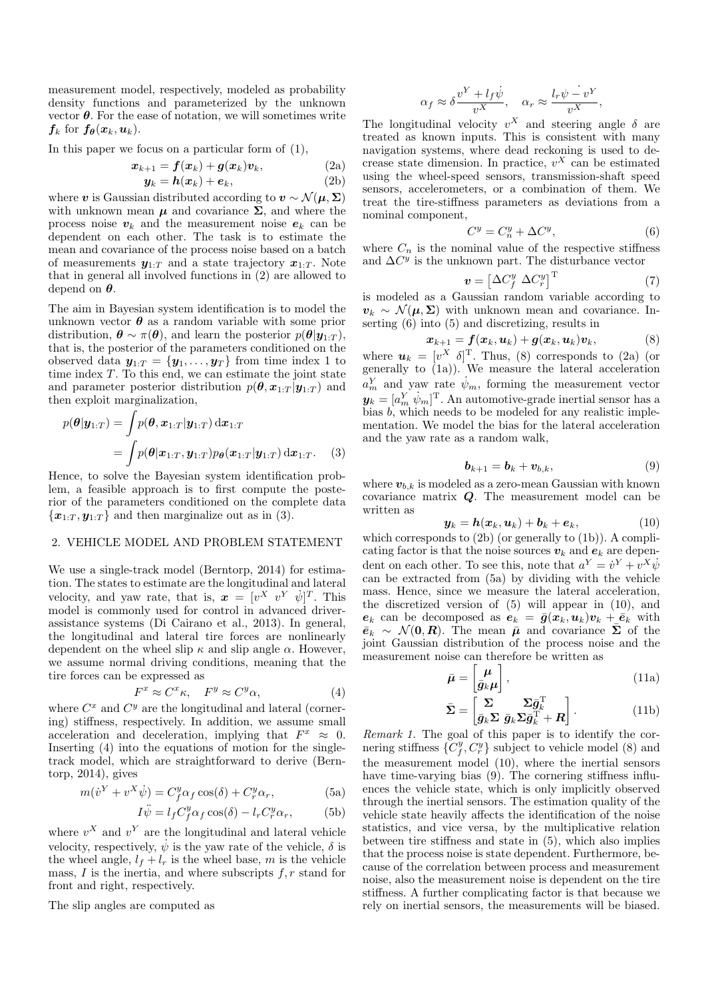measurement model, respectively, modeled as probability density functions and parameterized by the unknown vector  $\theta$ . For the ease of notation, we will sometimes write  $f_k$  for  $f_{\theta}(x_k, u_k)$ .

In this paper we focus on a particular form of (1),

$$
\boldsymbol{x}_{k+1} = \boldsymbol{f}(\boldsymbol{x}_k) + \boldsymbol{g}(\boldsymbol{x}_k) \boldsymbol{v}_k, \tag{2a}
$$

$$
\mathbf{y}_k = \mathbf{h}(\mathbf{x}_k) + \mathbf{e}_k,\tag{2b}
$$

where v is Gaussian distributed according to  $v \sim \mathcal{N}(\mu, \Sigma)$ with unknown mean  $\mu$  and covariance  $\Sigma$ , and where the process noise  $v_k$  and the measurement noise  $e_k$  can be dependent on each other. The task is to estimate the mean and covariance of the process noise based on a batch of measurements  $y_{1:T}$  and a state trajectory  $x_{1:T}$ . Note that in general all involved functions in (2) are allowed to depend on  $\theta$ .

The aim in Bayesian system identification is to model the unknown vector  $\theta$  as a random variable with some prior distribution,  $\boldsymbol{\theta} \sim \pi(\boldsymbol{\theta})$ , and learn the posterior  $p(\boldsymbol{\theta}|\boldsymbol{y}_{1:T})$ , that is, the posterior of the parameters conditioned on the observed data  $y_{1:T} = \{y_1, \ldots, y_T\}$  from time index 1 to time index  $T$ . To this end, we can estimate the joint state and parameter posterior distribution  $p(\theta, x_{1:T} | y_{1:T})$  and then exploit marginalization,

$$
p(\boldsymbol{\theta}|\mathbf{y}_{1:T}) = \int p(\boldsymbol{\theta}, \mathbf{x}_{1:T}|\mathbf{y}_{1:T}) d\mathbf{x}_{1:T}
$$
  
= 
$$
\int p(\boldsymbol{\theta}|\mathbf{x}_{1:T}, \mathbf{y}_{1:T}) p_{\boldsymbol{\theta}}(\mathbf{x}_{1:T}|\mathbf{y}_{1:T}) d\mathbf{x}_{1:T}.
$$
 (3)

Hence, to solve the Bayesian system identification problem, a feasible approach is to first compute the posterior of the parameters conditioned on the complete data  ${x_{1:T}, y_{1:T}}$  and then marginalize out as in (3).

#### 2. VEHICLE MODEL AND PROBLEM STATEMENT

We use a single-track model (Berntorp, 2014) for estimation. The states to estimate are the longitudinal and lateral velocity, and yaw rate, that is,  $\boldsymbol{x} = [v^X \ v^Y \ \dot{\psi}]^T$ . This model is commonly used for control in advanced driverassistance systems (Di Cairano et al., 2013). In general, the longitudinal and lateral tire forces are nonlinearly dependent on the wheel slip  $\kappa$  and slip angle  $\alpha$ . However, we assume normal driving conditions, meaning that the tire forces can be expressed as

$$
F^x \approx C^x \kappa, \quad F^y \approx C^y \alpha,\tag{4}
$$

where  $C^x$  and  $C^y$  are the longitudinal and lateral (cornering) stiffness, respectively. In addition, we assume small acceleration and deceleration, implying that  $F^x \approx 0$ . Inserting (4) into the equations of motion for the singletrack model, which are straightforward to derive (Berntorp, 2014), gives

$$
m(\dot{v}^Y + v^X \dot{\psi}) = C_f^y \alpha_f \cos(\delta) + C_r^y \alpha_r, \tag{5a}
$$

$$
I\ddot{\psi} = l_f C_f^y \alpha_f \cos(\delta) - l_r C_r^y \alpha_r, \tag{5b}
$$

where  $v^X$  and  $v^Y$  are the longitudinal and lateral vehicle velocity, respectively,  $\dot{\psi}$  is the yaw rate of the vehicle,  $\delta$  is the wheel angle,  $l_f + l_r$  is the wheel base, m is the vehicle mass,  $I$  is the inertia, and where subscripts  $f, r$  stand for front and right, respectively.

The slip angles are computed as

$$
\alpha_f \approx \delta \frac{v^Y + l_f \dot{\psi}}{v^X}, \quad \alpha_r \approx \frac{l_r \psi - v^Y}{v^X},
$$

The longitudinal velocity  $v^X$  and steering angle  $\delta$  are treated as known inputs. This is consistent with many navigation systems, where dead reckoning is used to decrease state dimension. In practice,  $v^X$  can be estimated using the wheel-speed sensors, transmission-shaft speed sensors, accelerometers, or a combination of them. We treat the tire-stiffness parameters as deviations from a nominal component,

$$
C^y = C_n^y + \Delta C^y,\tag{6}
$$

where  $C_n$  is the nominal value of the respective stiffness and  $\Delta C^y$  is the unknown part. The disturbance vector

$$
\mathbf{v} = \left[\Delta C_f^y \ \Delta C_r^y\right]^\mathrm{T} \tag{7}
$$

is modeled as a Gaussian random variable according to  $v_k \sim \mathcal{N}(\mu, \Sigma)$  with unknown mean and covariance. Inserting (6) into (5) and discretizing, results in

$$
\boldsymbol{x}_{k+1} = \boldsymbol{f}(\boldsymbol{x}_k, \boldsymbol{u}_k) + \boldsymbol{g}(\boldsymbol{x}_k, \boldsymbol{u}_k) \boldsymbol{v}_k, \tag{8}
$$

where  $u_k = [v^X \delta]^T$ . Thus, (8) corresponds to (2a) (or generally to  $(1a)$ ). We measure the lateral acceleration  $a_m^Y$  and yaw rate  $\dot{\psi}_m$ , forming the measurement vector  $\pmb{y}_k = [a_m^Y \; \dot{\psi}_m]^{\rm T}.$  An automotive-grade inertial sensor has a bias b, which needs to be modeled for any realistic implementation. We model the bias for the lateral acceleration and the yaw rate as a random walk,

$$
\boldsymbol{b}_{k+1} = \boldsymbol{b}_k + \boldsymbol{v}_{b,k},\tag{9}
$$

where  $v_{b,k}$  is modeled as a zero-mean Gaussian with known covariance matrix Q. The measurement model can be written as

$$
\mathbf{y}_k = \mathbf{h}(\mathbf{x}_k, \mathbf{u}_k) + \mathbf{b}_k + \mathbf{e}_k, \tag{10}
$$

which corresponds to (2b) (or generally to (1b)). A complicating factor is that the noise sources  $v_k$  and  $e_k$  are dependent on each other. To see this, note that  $a^Y = \dot{v}^Y + v^X \dot{\psi}$ can be extracted from (5a) by dividing with the vehicle mass. Hence, since we measure the lateral acceleration, the discretized version of (5) will appear in (10), and  $e_k$  can be decomposed as  $e_k = \bar{g}(x_k, u_k)v_k + \bar{e}_k$  with  $\bar{e}_k \sim \mathcal{N}(0, R)$ . The mean  $\bar{\mu}$  and covariance  $\bar{\Sigma}$  of the joint Gaussian distribution of the process noise and the measurement noise can therefore be written as

$$
\bar{\mu} = \begin{bmatrix} \mu \\ \bar{g}_k \mu \end{bmatrix},\tag{11a}
$$

$$
\bar{\mathbf{\Sigma}} = \begin{bmatrix} \mathbf{\Sigma} & \mathbf{\Sigma} \bar{\mathbf{g}}_k^{\mathrm{T}} \\ \bar{\mathbf{g}}_k \mathbf{\Sigma} & \bar{\mathbf{g}}_k \mathbf{\Sigma} \bar{\mathbf{g}}_k^{\mathrm{T}} + \mathbf{R} \end{bmatrix} . \tag{11b}
$$

Remark 1. The goal of this paper is to identify the cornering stiffness  $\{C_f^y, C_r^y\}$  subject to vehicle model (8) and the measurement model (10), where the inertial sensors have time-varying bias (9). The cornering stiffness influences the vehicle state, which is only implicitly observed through the inertial sensors. The estimation quality of the vehicle state heavily affects the identification of the noise statistics, and vice versa, by the multiplicative relation between tire stiffness and state in (5), which also implies that the process noise is state dependent. Furthermore, because of the correlation between process and measurement noise, also the measurement noise is dependent on the tire stiffness. A further complicating factor is that because we rely on inertial sensors, the measurements will be biased.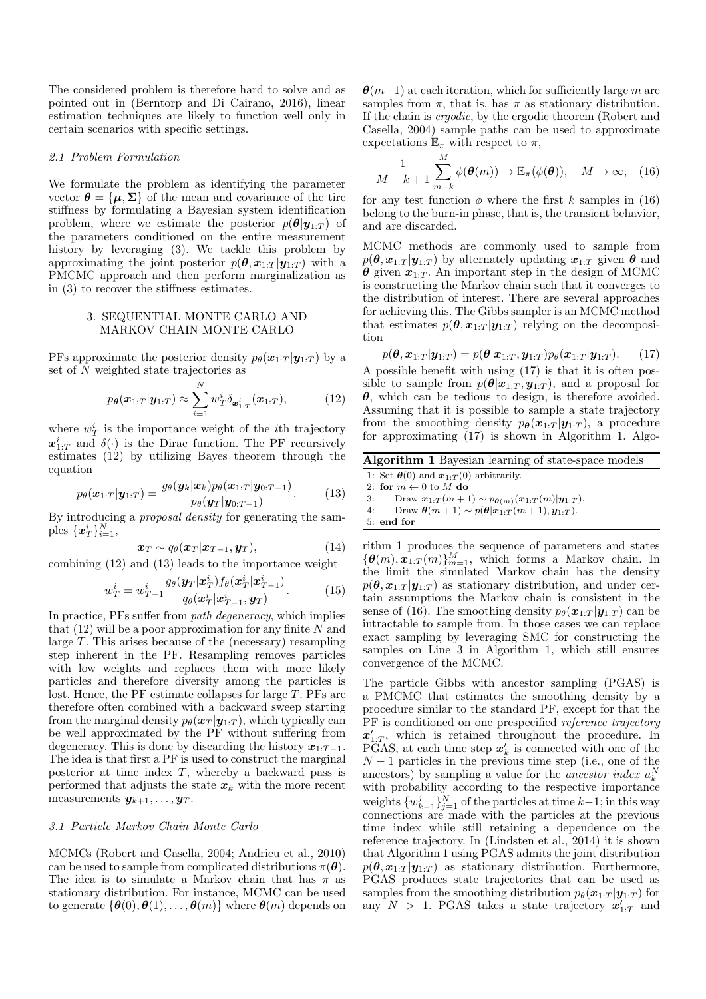The considered problem is therefore hard to solve and as pointed out in (Berntorp and Di Cairano, 2016), linear estimation techniques are likely to function well only in certain scenarios with specific settings.

#### 2.1 Problem Formulation

We formulate the problem as identifying the parameter vector  $\boldsymbol{\theta} = {\boldsymbol{\mu}, \boldsymbol{\Sigma}}$  of the mean and covariance of the tire stiffness by formulating a Bayesian system identification problem, where we estimate the posterior  $p(\theta|\mathbf{y}_{1:T})$  of the parameters conditioned on the entire measurement history by leveraging (3). We tackle this problem by approximating the joint posterior  $p(\theta, x_{1:T} | y_{1:T})$  with a PMCMC approach and then perform marginalization as in (3) to recover the stiffness estimates.

### 3. SEQUENTIAL MONTE CARLO AND MARKOV CHAIN MONTE CARLO

PFs approximate the posterior density  $p_{\theta}(\boldsymbol{x}_{1:T} | \boldsymbol{y}_{1:T})$  by a set of N weighted state trajectories as

$$
p_{\theta}(\boldsymbol{x}_{1:T}|\boldsymbol{y}_{1:T}) \approx \sum_{i=1}^{N} w_T^i \delta_{\boldsymbol{x}_{1:T}^i}(\boldsymbol{x}_{1:T}),
$$
 (12)

where  $w_T^i$  is the importance weight of the *i*<sup>th</sup> trajectory  $x_{1:T}^i$  and  $\delta(\cdot)$  is the Dirac function. The PF recursively estimates (12) by utilizing Bayes theorem through the equation

$$
p_{\theta}(\boldsymbol{x}_{1:T}|\boldsymbol{y}_{1:T}) = \frac{g_{\theta}(\boldsymbol{y}_k|\boldsymbol{x}_k)p_{\theta}(\boldsymbol{x}_{1:T}|\boldsymbol{y}_{0:T-1})}{p_{\theta}(\boldsymbol{y}_T|\boldsymbol{y}_{0:T-1})}.
$$
(13)

By introducing a proposal density for generating the samples  $\{\boldsymbol{x}_T^i\}_{i=1}^N$ ,

$$
\boldsymbol{x}_T \sim q_{\theta}(\boldsymbol{x}_T | \boldsymbol{x}_{T-1}, \boldsymbol{y}_T), \tag{14}
$$

combining (12) and (13) leads to the importance weight

$$
w_T^i = w_{T-1}^i \frac{g_\theta(\boldsymbol{y}_T|\boldsymbol{x}_T^i) f_\theta(\boldsymbol{x}_T^i|\boldsymbol{x}_{T-1}^i)}{q_\theta(\boldsymbol{x}_T^i|\boldsymbol{x}_{T-1}^i, \boldsymbol{y}_T)}.
$$
(15)

In practice, PFs suffer from path degeneracy, which implies that  $(12)$  will be a poor approximation for any finite N and large  $T$ . This arises because of the (necessary) resampling step inherent in the PF. Resampling removes particles with low weights and replaces them with more likely particles and therefore diversity among the particles is lost. Hence, the PF estimate collapses for large T. PFs are therefore often combined with a backward sweep starting from the marginal density  $p_{\theta}(\boldsymbol{x}_T | \boldsymbol{y}_{1:T})$ , which typically can be well approximated by the PF without suffering from degeneracy. This is done by discarding the history  $x_{1:T-1}$ . The idea is that first a PF is used to construct the marginal posterior at time index  $T$ , whereby a backward pass is performed that adjusts the state  $x_k$  with the more recent measurements  $y_{k+1}, \ldots, y_T$ .

#### 3.1 Particle Markov Chain Monte Carlo

MCMCs (Robert and Casella, 2004; Andrieu et al., 2010) can be used to sample from complicated distributions  $\pi(\theta)$ . The idea is to simulate a Markov chain that has  $\pi$  as stationary distribution. For instance, MCMC can be used to generate  $\{\boldsymbol{\theta}(0), \boldsymbol{\theta}(1), \ldots, \boldsymbol{\theta}(m)\}$  where  $\boldsymbol{\theta}(m)$  depends on  $\theta(m-1)$  at each iteration, which for sufficiently large m are samples from  $\pi$ , that is, has  $\pi$  as stationary distribution. If the chain is ergodic, by the ergodic theorem (Robert and Casella, 2004) sample paths can be used to approximate expectations  $\mathbb{E}_{\pi}$  with respect to  $\pi$ ,

$$
\frac{1}{M-k+1} \sum_{m=k}^{M} \phi(\boldsymbol{\theta}(m)) \to \mathbb{E}_{\pi}(\phi(\boldsymbol{\theta})), \quad M \to \infty, \quad (16)
$$

for any test function  $\phi$  where the first k samples in (16) belong to the burn-in phase, that is, the transient behavior, and are discarded.

MCMC methods are commonly used to sample from  $p(\theta, x_{1:T} | y_{1:T})$  by alternately updating  $x_{1:T}$  given  $\theta$  and  $\theta$  given  $x_{1:T}$ . An important step in the design of MCMC is constructing the Markov chain such that it converges to the distribution of interest. There are several approaches for achieving this. The Gibbs sampler is an MCMC method that estimates  $p(\theta, x_{1:T} | y_{1:T})$  relying on the decomposition

$$
p(\boldsymbol{\theta}, \boldsymbol{x}_{1:T}|\boldsymbol{y}_{1:T}) = p(\boldsymbol{\theta}|\boldsymbol{x}_{1:T}, \boldsymbol{y}_{1:T})p_{\boldsymbol{\theta}}(\boldsymbol{x}_{1:T}|\boldsymbol{y}_{1:T}). \qquad (17)
$$

A possible benefit with using (17) is that it is often possible to sample from  $p(\theta|\mathbf{x}_{1:T}, \mathbf{y}_{1:T})$ , and a proposal for  $\theta$ , which can be tedious to design, is therefore avoided. Assuming that it is possible to sample a state trajectory from the smoothing density  $p_{\theta}(\boldsymbol{x}_{1:T} | \boldsymbol{y}_{1:T})$ , a procedure for approximating (17) is shown in Algorithm 1. Algo-

|  |  | Algorithm 1 Bayesian learning of state-space models |
|--|--|-----------------------------------------------------|
|  |  |                                                     |

1: Set  $\theta(0)$  and  $x_{1:T}(0)$  arbitrarily.

2: for  $m \leftarrow 0$  to M do<br>3: Draw  $x_{1,T}(m+1)$ 

3: Draw  $\boldsymbol{x}_{1:T}(m+1) \sim p_{\boldsymbol{\theta}(m)}(\boldsymbol{x}_{1:T}(m)|\boldsymbol{y}_{1:T}).$ 4: Draw  $\theta(m+1) \sim p(\theta|\mathbf{x}_{1:T}(m+1), \mathbf{y}_{1:T}).$ 

5: end for

rithm 1 produces the sequence of parameters and states  ${\lbrace \boldsymbol{\theta}(m), \boldsymbol{x}_{1:T}(m) \rbrace_{m=1}^M}$ , which forms a Markov chain. In the limit the simulated Markov chain has the density  $p(\theta, \boldsymbol{x}_{1:T} | \boldsymbol{y}_{1:T})$  as stationary distribution, and under certain assumptions the Markov chain is consistent in the sense of (16). The smoothing density  $p_{\theta}(\boldsymbol{x}_{1:T} | \boldsymbol{y}_{1:T})$  can be intractable to sample from. In those cases we can replace exact sampling by leveraging SMC for constructing the samples on Line 3 in Algorithm 1, which still ensures convergence of the MCMC.

The particle Gibbs with ancestor sampling (PGAS) is a PMCMC that estimates the smoothing density by a procedure similar to the standard PF, except for that the PF is conditioned on one prespecified reference trajectory  $x'_{1:T}$ , which is retained throughout the procedure. In  $\overrightarrow{PGAS}$ , at each time step  $x'_k$  is connected with one of the  $N-1$  particles in the previous time step (i.e., one of the ancestors) by sampling a value for the *ancestor index*  $a_k^N$ with probability according to the respective importance weights  $\{w_{k-1}^j\}_{j=1}^N$  of the particles at time  $k-1$ ; in this way connections are made with the particles at the previous time index while still retaining a dependence on the reference trajectory. In (Lindsten et al., 2014) it is shown that Algorithm 1 using PGAS admits the joint distribution  $p(\theta, x_{1:T} | y_{1:T})$  as stationary distribution. Furthermore, PGAS produces state trajectories that can be used as samples from the smoothing distribution  $p_{\theta}(\boldsymbol{x}_{1:T} | \boldsymbol{y}_{1:T})$  for any  $N > 1$ . PGAS takes a state trajectory  $x'_{1:T}$  and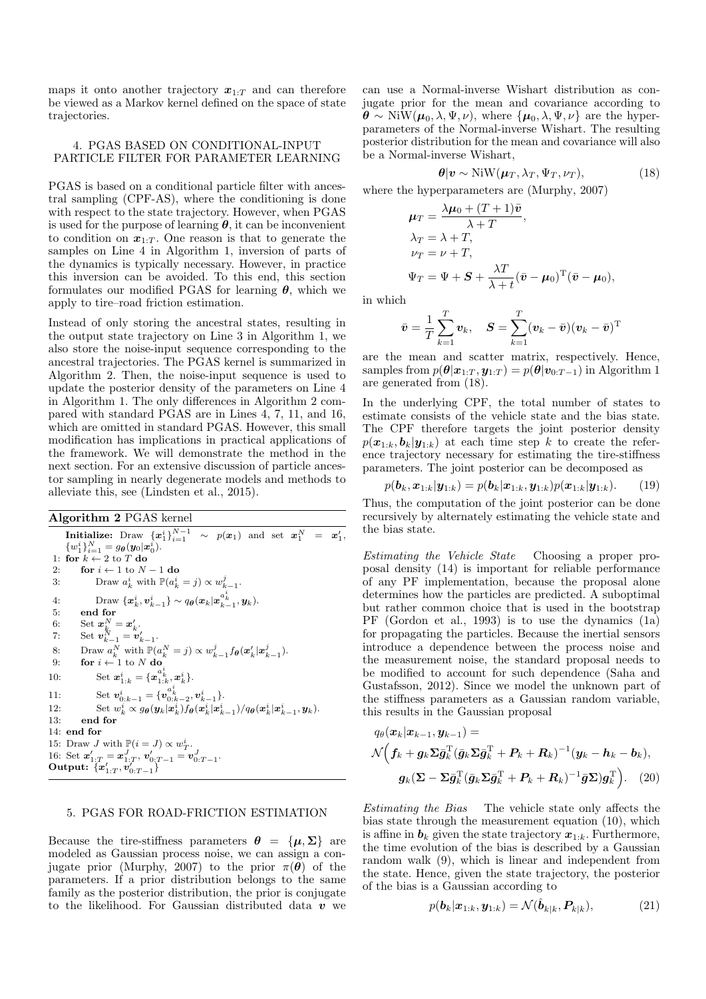maps it onto another trajectory  $x_1 \tau$  and can therefore be viewed as a Markov kernel defined on the space of state trajectories.

#### 4. PGAS BASED ON CONDITIONAL-INPUT PARTICLE FILTER FOR PARAMETER LEARNING

PGAS is based on a conditional particle filter with ancestral sampling (CPF-AS), where the conditioning is done with respect to the state trajectory. However, when PGAS is used for the purpose of learning  $\theta$ , it can be inconvenient to condition on  $x_{1:T}$ . One reason is that to generate the samples on Line 4 in Algorithm 1, inversion of parts of the dynamics is typically necessary. However, in practice this inversion can be avoided. To this end, this section formulates our modified PGAS for learning  $\theta$ , which we apply to tire–road friction estimation.

Instead of only storing the ancestral states, resulting in the output state trajectory on Line 3 in Algorithm 1, we also store the noise-input sequence corresponding to the ancestral trajectories. The PGAS kernel is summarized in Algorithm 2. Then, the noise-input sequence is used to update the posterior density of the parameters on Line 4 in Algorithm 1. The only differences in Algorithm 2 compared with standard PGAS are in Lines 4, 7, 11, and 16, which are omitted in standard PGAS. However, this small modification has implications in practical applications of the framework. We will demonstrate the method in the next section. For an extensive discussion of particle ancestor sampling in nearly degenerate models and methods to alleviate this, see (Lindsten et al., 2015).

## Algorithm 2 PGAS kernel

**Initialize:** Draw  $\{x_1^i\}_{i=1}^{N-1} \sim p(x_1)$  and set  $x_1^N = x_1^{\prime}$ ,  ${w_1^i}_{i=1}^N = g_{\theta}(y_0|x_0^i).$ 1: for  $k \leftarrow 2$  to T do 2: **for**  $i \leftarrow 1$  to  $N - 1$  **do**<br>3: Draw  $a_i^i$ , with  $\mathbb{P}(a_i^i)$ 3: Draw  $a_k^i$  with  $\mathbb{P}(a_k^i = j) \propto w_{k-1}^j$ . 4: Draw  $\{x_k^i, v_{k-1}^i\} \sim q_{\boldsymbol{\theta}}(x_k | x_{k-1}^{a_k^i}, y_k).$ 5: end for 6: Set  $\boldsymbol{x}_{k_{r}}^{N}=\boldsymbol{x}_{k}'$ . 7: Set  $v_{k-1}^N = v'_{k-1}$ . 8: Draw  $a_k^N$  with  $\mathbb{P}(a_k^N = j) \propto w_{k-1}^j f_{\theta}(\boldsymbol{x}_k' | \boldsymbol{x}_{k-1}^j).$ 9: **for**  $i \leftarrow 1$  to N do 10: Set  $\mathbf{x}_{1:k}^i = \{\mathbf{x}_{1:k}^{a_k^i}, \mathbf{x}_k^i\}.$ 11: Set  $\mathbf{v}_{0:k-1}^i = \{v_{0:k-2}^{a_k^i}, v_{k-1}^i\}.$ 12: Set  $w_k^i \propto g_{\theta}(\mathbf{y}_k|\mathbf{x}_k^i) f_{\theta}(\mathbf{x}_k^i|\mathbf{x}_{k-1}^i) / q_{\theta}(\mathbf{x}_k^i|\mathbf{x}_{k-1}^i, \mathbf{y}_k)$ . 13: end for 14: end for 15: Draw *J* with  $\mathbb{P}(i = J) \propto w_T^i$ . 16: Set  $\mathbf{x}'_{1:T} = \mathbf{x}^J_{1:T}, \mathbf{v}'_{0:T-1} = \mathbf{v}^J_{0:T-1}.$ Output:  $\{x'_{1:T}, v'_{0:T-1}\}$ 

## 5. PGAS FOR ROAD-FRICTION ESTIMATION

Because the tire-stiffness parameters  $\theta = {\mu, \Sigma}$  are modeled as Gaussian process noise, we can assign a conjugate prior (Murphy, 2007) to the prior  $\pi(\theta)$  of the parameters. If a prior distribution belongs to the same family as the posterior distribution, the prior is conjugate to the likelihood. For Gaussian distributed data  $v$  we can use a Normal-inverse Wishart distribution as conjugate prior for the mean and covariance according to  $\boldsymbol{\theta} \sim \text{NiW}(\boldsymbol{\mu}_0, \lambda, \Psi, \nu)$ , where  $\{\boldsymbol{\mu}_0, \lambda, \Psi, \nu\}$  are the hyperparameters of the Normal-inverse Wishart. The resulting posterior distribution for the mean and covariance will also be a Normal-inverse Wishart,

$$
\boldsymbol{\theta}|\boldsymbol{v} \sim \text{NiW}(\boldsymbol{\mu}_T, \lambda_T, \Psi_T, \nu_T), \tag{18}
$$

where the hyperparameters are (Murphy, 2007)

$$
\mu_T = \frac{\lambda \mu_0 + (T+1)\bar{v}}{\lambda + T},
$$
  
\n
$$
\lambda_T = \lambda + T,
$$
  
\n
$$
\nu_T = \nu + T,
$$
  
\n
$$
\Psi_T = \Psi + S + \frac{\lambda T}{\lambda + t} (\bar{v} - \mu_0)^T (\bar{v} - \mu_0),
$$

in which

$$
\bar{\boldsymbol{v}} = \frac{1}{T}\sum_{k=1}^T \boldsymbol{v}_k, \quad \boldsymbol{S} = \sum_{k=1}^T (\boldsymbol{v}_k - \bar{\boldsymbol{v}}) (\boldsymbol{v}_k - \bar{\boldsymbol{v}})^{\mathrm{T}}
$$

are the mean and scatter matrix, respectively. Hence, samples from  $p(\theta|\mathbf{x}_{1:T}, \mathbf{y}_{1:T}) = p(\theta|\mathbf{v}_{0:T-1})$  in Algorithm 1 are generated from (18).

In the underlying CPF, the total number of states to estimate consists of the vehicle state and the bias state. The CPF therefore targets the joint posterior density  $p(\mathbf{x}_{1:k}, \mathbf{b}_k | \mathbf{y}_{1:k})$  at each time step k to create the reference trajectory necessary for estimating the tire-stiffness parameters. The joint posterior can be decomposed as

$$
p(\mathbf{b}_k, \mathbf{x}_{1:k} | \mathbf{y}_{1:k}) = p(\mathbf{b}_k | \mathbf{x}_{1:k}, \mathbf{y}_{1:k}) p(\mathbf{x}_{1:k} | \mathbf{y}_{1:k}).
$$
 (19)

Thus, the computation of the joint posterior can be done recursively by alternately estimating the vehicle state and the bias state.

Estimating the Vehicle State Choosing a proper proposal density (14) is important for reliable performance of any PF implementation, because the proposal alone determines how the particles are predicted. A suboptimal but rather common choice that is used in the bootstrap PF (Gordon et al., 1993) is to use the dynamics (1a) for propagating the particles. Because the inertial sensors introduce a dependence between the process noise and the measurement noise, the standard proposal needs to be modified to account for such dependence (Saha and Gustafsson, 2012). Since we model the unknown part of the stiffness parameters as a Gaussian random variable, this results in the Gaussian proposal

$$
q_{\theta}(\boldsymbol{x}_{k}|\boldsymbol{x}_{k-1},\boldsymbol{y}_{k-1}) =
$$
  

$$
\mathcal{N}\left(\boldsymbol{f}_{k} + \boldsymbol{g}_{k}\boldsymbol{\Sigma}\bar{\boldsymbol{g}}_{k}^{\mathrm{T}}(\bar{\boldsymbol{g}}_{k}\boldsymbol{\Sigma}\bar{\boldsymbol{g}}_{k}^{\mathrm{T}} + \boldsymbol{P}_{k} + \boldsymbol{R}_{k})^{-1}(\boldsymbol{y}_{k} - \boldsymbol{h}_{k} - \boldsymbol{b}_{k}),
$$
  

$$
\boldsymbol{g}_{k}(\boldsymbol{\Sigma} - \boldsymbol{\Sigma}\bar{\boldsymbol{g}}_{k}^{\mathrm{T}}(\bar{\boldsymbol{g}}_{k}\boldsymbol{\Sigma}\bar{\boldsymbol{g}}_{k}^{\mathrm{T}} + \boldsymbol{P}_{k} + \boldsymbol{R}_{k})^{-1}\bar{\boldsymbol{g}}\boldsymbol{\Sigma})\boldsymbol{g}_{k}^{\mathrm{T}}\right).
$$
(20)

Estimating the Bias The vehicle state only affects the bias state through the measurement equation (10), which is affine in  $b_k$  given the state trajectory  $x_{1:k}$ . Furthermore, the time evolution of the bias is described by a Gaussian random walk (9), which is linear and independent from the state. Hence, given the state trajectory, the posterior of the bias is a Gaussian according to

$$
p(\boldsymbol{b}_k|\boldsymbol{x}_{1:k},\boldsymbol{y}_{1:k}) = \mathcal{N}(\hat{\boldsymbol{b}}_{k|k},\boldsymbol{P}_{k|k}),
$$
(21)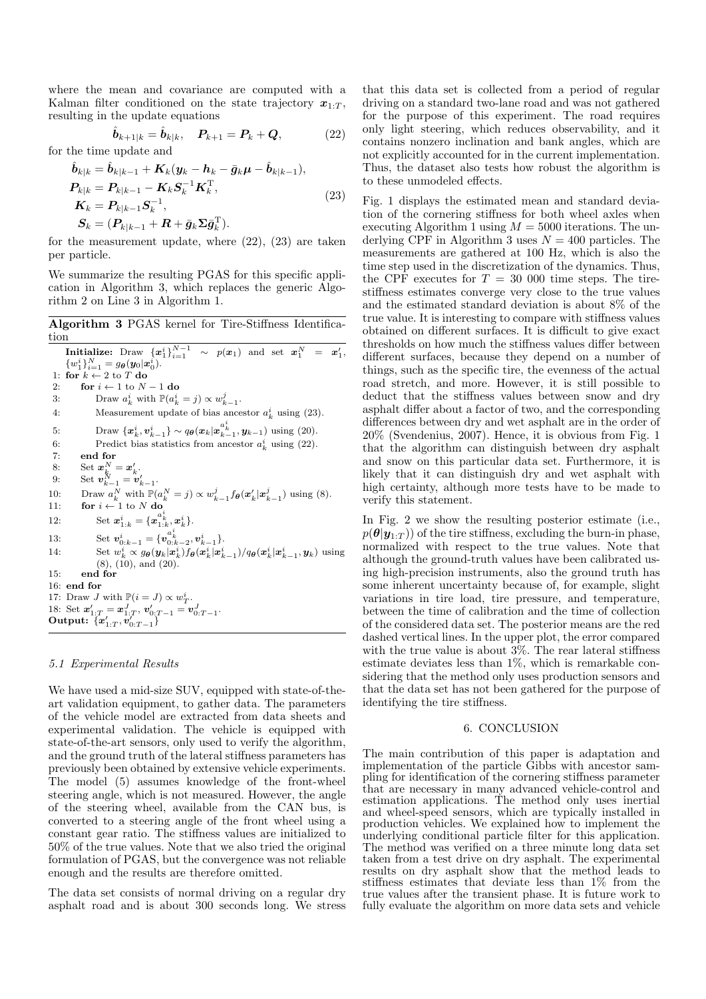where the mean and covariance are computed with a Kalman filter conditioned on the state trajectory  $x_{1:T}$ , resulting in the update equations

$$
\hat{\bm{b}}_{k+1|k} = \hat{\bm{b}}_{k|k}, \quad \bm{P}_{k+1} = \bm{P}_k + \bm{Q},
$$
\n(22)

for the time update and

$$
\hat{\boldsymbol{b}}_{k|k} = \hat{\boldsymbol{b}}_{k|k-1} + \boldsymbol{K}_k (\boldsymbol{y}_k - \boldsymbol{h}_k - \bar{\boldsymbol{g}}_k \boldsymbol{\mu} - \hat{\boldsymbol{b}}_{k|k-1}),
$$
\n
$$
\boldsymbol{P}_{k|k} = \boldsymbol{P}_{k|k-1} - \boldsymbol{K}_k \boldsymbol{S}_k^{-1} \boldsymbol{K}_k^{\mathrm{T}},
$$
\n
$$
\boldsymbol{K}_k = \boldsymbol{P}_{k|k-1} \boldsymbol{S}_k^{-1},
$$
\n
$$
\boldsymbol{S}_k = (\boldsymbol{P}_{k|k-1} + \boldsymbol{R} + \bar{\boldsymbol{g}}_k \boldsymbol{\Sigma} \bar{\boldsymbol{g}}_k^{\mathrm{T}}).
$$
\n(23)

for the measurement update, where (22), (23) are taken per particle.

We summarize the resulting PGAS for this specific application in Algorithm 3, which replaces the generic Algorithm 2 on Line 3 in Algorithm 1.

Algorithm 3 PGAS kernel for Tire-Stiffness Identification

**Initialize:** Draw  $\{x_1^i\}_{i=1}^{N-1} \sim p(x_1)$  and set  $x_1^N = x_1^{\prime}$ ,  ${w_1^i}_{i=1}^N = g_{\boldsymbol{\theta}}(\boldsymbol{y}_0|\boldsymbol{x}_0^i).$ 1: for  $k \leftarrow 2$  to T do<br>2: for  $i \leftarrow 1$  to N 2: **for**  $i \leftarrow 1$  to  $N - 1$  **do**<br>3: Draw  $a_i^i$  with  $\mathbb{P}(a_i^i)$ 3: Draw  $a_k^i$  with  $\mathbb{P}(a_k^i = j) \propto w_{k-1}^j$ . 4: Measurement update of bias ancestor  $a_k^i$  using (23). 5: Draw  $\{x_k^i, v_{k-1}^i\} \sim q_{\theta}(x_k|x_{k-1}^{a_{k}^i}, y_{k-1})$  using (20). 6: Predict bias statistics from ancestor  $a_k^i$  using (22). 7: end for  $8: \qquad \text{Set } \boldsymbol{x}_{k}^{N}=\boldsymbol{x}_{k}'.$ 9: Set  $v_{k-1}^N = v'_{k-1}$ . 10: Draw  $a_k^N$  with  $\mathbb{P}(a_k^N = j) \propto w_{k-1}^j f_{\theta}(\boldsymbol{x}_k' | \boldsymbol{x}_{k-1}^j)$  using (8). 11: **for**  $i \leftarrow 1$  to N do 12: Set  $\mathbf{x}_{1:k}^i = \{\mathbf{x}_{1:k}^{a_k^i}, \mathbf{x}_k^i\}.$ 13: Set  $\mathbf{v}_{0:k-1}^i = \{v_{0:k-2}^{a_k^i}, v_{k-1}^i\}.$ 14: Set  $w_k^i \propto g_\theta(\mathbf{y}_k|\mathbf{x}_k^i) f_\theta(\mathbf{x}_k^i|\mathbf{x}_{k-1}^i) / q_\theta(\mathbf{x}_k^i|\mathbf{x}_{k-1}^i, \mathbf{y}_k)$  using  $(8)$ ,  $(10)$ , and  $(20)$ . 15: end for 16: end for 17: Draw *J* with  $\mathbb{P}(i = J) \propto w_T^i$ . 18: Set  $\mathbf{x}'_{1:T} = \mathbf{x}^J_{1:T}, \mathbf{v}'_{0:T-1} = \mathbf{v}^J_{0:T-1}.$ Output:  $\{x'_{1:T}, v'_{0:T-1}\}$ 

#### 5.1 Experimental Results

We have used a mid-size SUV, equipped with state-of-theart validation equipment, to gather data. The parameters of the vehicle model are extracted from data sheets and experimental validation. The vehicle is equipped with state-of-the-art sensors, only used to verify the algorithm, and the ground truth of the lateral stiffness parameters has previously been obtained by extensive vehicle experiments. The model (5) assumes knowledge of the front-wheel steering angle, which is not measured. However, the angle of the steering wheel, available from the CAN bus, is converted to a steering angle of the front wheel using a constant gear ratio. The stiffness values are initialized to 50% of the true values. Note that we also tried the original formulation of PGAS, but the convergence was not reliable enough and the results are therefore omitted.

The data set consists of normal driving on a regular dry asphalt road and is about 300 seconds long. We stress that this data set is collected from a period of regular driving on a standard two-lane road and was not gathered for the purpose of this experiment. The road requires only light steering, which reduces observability, and it contains nonzero inclination and bank angles, which are not explicitly accounted for in the current implementation. Thus, the dataset also tests how robust the algorithm is to these unmodeled effects.

Fig. 1 displays the estimated mean and standard deviation of the cornering stiffness for both wheel axles when executing Algorithm 1 using  $M = 5000$  iterations. The underlying CPF in Algorithm 3 uses  $N = 400$  particles. The measurements are gathered at 100 Hz, which is also the time step used in the discretization of the dynamics. Thus, the CPF executes for  $T = 30,000$  time steps. The tirestiffness estimates converge very close to the true values and the estimated standard deviation is about 8% of the true value. It is interesting to compare with stiffness values obtained on different surfaces. It is difficult to give exact thresholds on how much the stiffness values differ between different surfaces, because they depend on a number of things, such as the specific tire, the evenness of the actual road stretch, and more. However, it is still possible to deduct that the stiffness values between snow and dry asphalt differ about a factor of two, and the corresponding differences between dry and wet asphalt are in the order of 20% (Svendenius, 2007). Hence, it is obvious from Fig. 1 that the algorithm can distinguish between dry asphalt and snow on this particular data set. Furthermore, it is likely that it can distinguish dry and wet asphalt with high certainty, although more tests have to be made to verify this statement.

In Fig. 2 we show the resulting posterior estimate (i.e.,  $p(\theta|\mathbf{y}_{1:T})$  of the tire stiffness, excluding the burn-in phase, normalized with respect to the true values. Note that although the ground-truth values have been calibrated using high-precision instruments, also the ground truth has some inherent uncertainty because of, for example, slight variations in tire load, tire pressure, and temperature, between the time of calibration and the time of collection of the considered data set. The posterior means are the red dashed vertical lines. In the upper plot, the error compared with the true value is about  $3\%$ . The rear lateral stiffness estimate deviates less than 1%, which is remarkable considering that the method only uses production sensors and that the data set has not been gathered for the purpose of identifying the tire stiffness.

#### 6. CONCLUSION

The main contribution of this paper is adaptation and implementation of the particle Gibbs with ancestor sampling for identification of the cornering stiffness parameter that are necessary in many advanced vehicle-control and estimation applications. The method only uses inertial and wheel-speed sensors, which are typically installed in production vehicles. We explained how to implement the underlying conditional particle filter for this application. The method was verified on a three minute long data set taken from a test drive on dry asphalt. The experimental results on dry asphalt show that the method leads to stiffness estimates that deviate less than 1% from the true values after the transient phase. It is future work to fully evaluate the algorithm on more data sets and vehicle